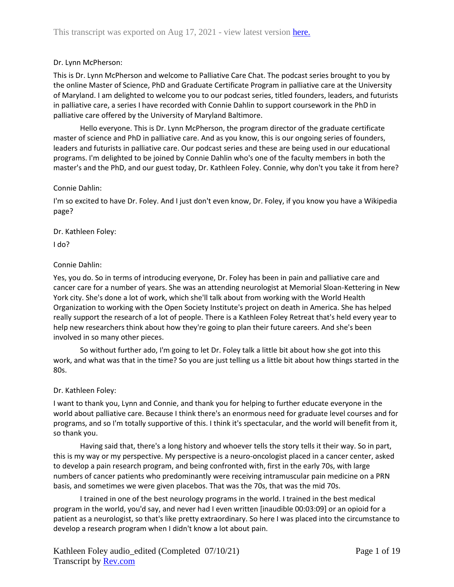## Dr. Lynn McPherson:

This is Dr. Lynn McPherson and welcome to Palliative Care Chat. The podcast series brought to you by the online Master of Science, PhD and Graduate Certificate Program in palliative care at the University of Maryland. I am delighted to welcome you to our podcast series, titled founders, leaders, and futurists in palliative care, a series I have recorded with Connie Dahlin to support coursework in the PhD in palliative care offered by the University of Maryland Baltimore.

Hello everyone. This is Dr. Lynn McPherson, the program director of the graduate certificate master of science and PhD in palliative care. And as you know, this is our ongoing series of founders, leaders and futurists in palliative care. Our podcast series and these are being used in our educational programs. I'm delighted to be joined by Connie Dahlin who's one of the faculty members in both the master's and the PhD, and our guest today, Dr. Kathleen Foley. Connie, why don't you take it from here?

## Connie Dahlin:

I'm so excited to have Dr. Foley. And I just don't even know, Dr. Foley, if you know you have a Wikipedia page?

Dr. Kathleen Foley:

I do?

## Connie Dahlin:

Yes, you do. So in terms of introducing everyone, Dr. Foley has been in pain and palliative care and cancer care for a number of years. She was an attending neurologist at Memorial Sloan-Kettering in New York city. She's done a lot of work, which she'll talk about from working with the World Health Organization to working with the Open Society Institute's project on death in America. She has helped really support the research of a lot of people. There is a Kathleen Foley Retreat that's held every year to help new researchers think about how they're going to plan their future careers. And she's been involved in so many other pieces.

So without further ado, I'm going to let Dr. Foley talk a little bit about how she got into this work, and what was that in the time? So you are just telling us a little bit about how things started in the 80s.

## Dr. Kathleen Foley:

I want to thank you, Lynn and Connie, and thank you for helping to further educate everyone in the world about palliative care. Because I think there's an enormous need for graduate level courses and for programs, and so I'm totally supportive of this. I think it's spectacular, and the world will benefit from it, so thank you.

Having said that, there's a long history and whoever tells the story tells it their way. So in part, this is my way or my perspective. My perspective is a neuro-oncologist placed in a cancer center, asked to develop a pain research program, and being confronted with, first in the early 70s, with large numbers of cancer patients who predominantly were receiving intramuscular pain medicine on a PRN basis, and sometimes we were given placebos. That was the 70s, that was the mid 70s.

I trained in one of the best neurology programs in the world. I trained in the best medical program in the world, you'd say, and never had I even written [inaudible 00:03:09] or an opioid for a patient as a neurologist, so that's like pretty extraordinary. So here I was placed into the circumstance to develop a research program when I didn't know a lot about pain.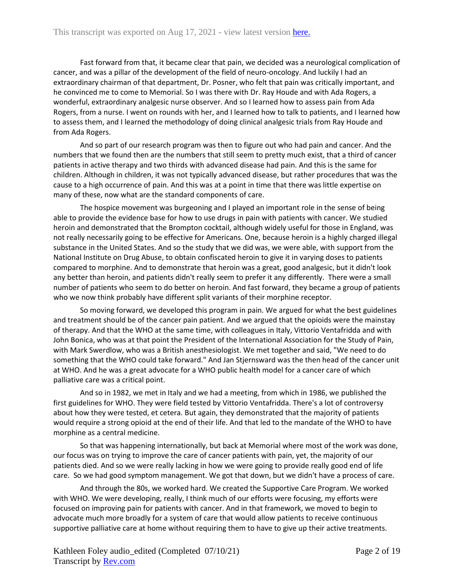Fast forward from that, it became clear that pain, we decided was a neurological complication of cancer, and was a pillar of the development of the field of neuro-oncology. And luckily I had an extraordinary chairman of that department, Dr. Posner, who felt that pain was critically important, and he convinced me to come to Memorial. So I was there with Dr. Ray Houde and with Ada Rogers, a wonderful, extraordinary analgesic nurse observer. And so I learned how to assess pain from Ada Rogers, from a nurse. I went on rounds with her, and I learned how to talk to patients, and I learned how to assess them, and I learned the methodology of doing clinical analgesic trials from Ray Houde and from Ada Rogers.

And so part of our research program was then to figure out who had pain and cancer. And the numbers that we found then are the numbers that still seem to pretty much exist, that a third of cancer patients in active therapy and two thirds with advanced disease had pain. And this is the same for children. Although in children, it was not typically advanced disease, but rather procedures that was the cause to a high occurrence of pain. And this was at a point in time that there was little expertise on many of these, now what are the standard components of care.

The hospice movement was burgeoning and I played an important role in the sense of being able to provide the evidence base for how to use drugs in pain with patients with cancer. We studied heroin and demonstrated that the Brompton cocktail, although widely useful for those in England, was not really necessarily going to be effective for Americans. One, because heroin is a highly charged illegal substance in the United States. And so the study that we did was, we were able, with support from the National Institute on Drug Abuse, to obtain confiscated heroin to give it in varying doses to patients compared to morphine. And to demonstrate that heroin was a great, good analgesic, but it didn't look any better than heroin, and patients didn't really seem to prefer it any differently. There were a small number of patients who seem to do better on heroin. And fast forward, they became a group of patients who we now think probably have different split variants of their morphine receptor.

So moving forward, we developed this program in pain. We argued for what the best guidelines and treatment should be of the cancer pain patient. And we argued that the opioids were the mainstay of therapy. And that the WHO at the same time, with colleagues in Italy, Vittorio Ventafridda and with John Bonica, who was at that point the President of the International Association for the Study of Pain, with Mark Swerdlow, who was a British anesthesiologist. We met together and said, "We need to do something that the WHO could take forward." And Jan Stjernsward was the then head of the cancer unit at WHO. And he was a great advocate for a WHO public health model for a cancer care of which palliative care was a critical point.

And so in 1982, we met in Italy and we had a meeting, from which in 1986, we published the first guidelines for WHO. They were field tested by Vittorio Ventafridda. There's a lot of controversy about how they were tested, et cetera. But again, they demonstrated that the majority of patients would require a strong opioid at the end of their life. And that led to the mandate of the WHO to have morphine as a central medicine.

So that was happening internationally, but back at Memorial where most of the work was done, our focus was on trying to improve the care of cancer patients with pain, yet, the majority of our patients died. And so we were really lacking in how we were going to provide really good end of life care. So we had good symptom management. We got that down, but we didn't have a process of care.

And through the 80s, we worked hard. We created the Supportive Care Program. We worked with WHO. We were developing, really, I think much of our efforts were focusing, my efforts were focused on improving pain for patients with cancer. And in that framework, we moved to begin to advocate much more broadly for a system of care that would allow patients to receive continuous supportive palliative care at home without requiring them to have to give up their active treatments.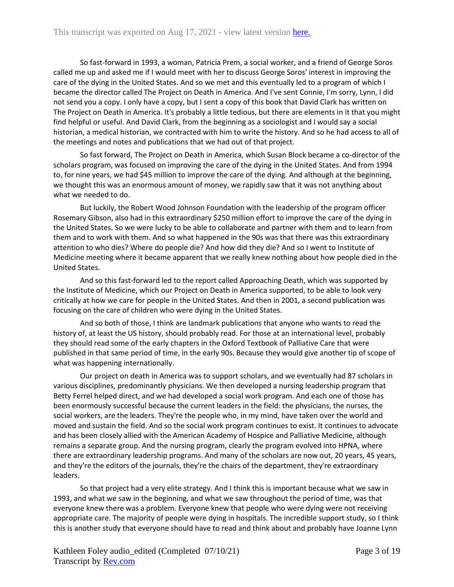So fast-forward in 1993, a woman, Patricia Prem, a social worker, and a friend of George Soros called me up and asked me if I would meet with her to discuss George Soros' interest in improving the care of the dying in the United States. And so we met and this eventually led to a program of which I became the director called The Project on Death in America. And I've sent Connie, I'm sorry, Lynn, I did not send you a copy. I only have a copy, but I sent a copy of this book that David Clark has written on The Project on Death in America. It's probably a little tedious, but there are elements in it that you might find helpful or useful. And David Clark, from the beginning as a sociologist and I would say a social historian, a medical historian, we contracted with him to write the history. And so he had access to all of the meetings and notes and publications that we had out of that project.

So fast forward, The Project on Death in America, which Susan Block became a co-director of the scholars program, was focused on improving the care of the dying in the United States. And from 1994 to, for nine years, we had \$45 million to improve the care of the dying. And although at the beginning, we thought this was an enormous amount of money, we rapidly saw that it was not anything about what we needed to do.

But luckily, the Robert Wood Johnson Foundation with the leadership of the program officer Rosemary Gibson, also had in this extraordinary \$250 million effort to improve the care of the dying in the United States. So we were lucky to be able to collaborate and partner with them and to learn from them and to work with them. And so what happened in the 90s was that there was this extraordinary attention to who dies? Where do people die? And how did they die? And so I went to Institute of Medicine meeting where it became apparent that we really knew nothing about how people died in the United States.

And so this fast-forward led to the report called Approaching Death, which was supported by the Institute of Medicine, which our Project on Death in America supported, to be able to look very critically at how we care for people in the United States. And then in 2001, a second publication was focusing on the care of children who were dying in the United States.

And so both of those, I think are landmark publications that anyone who wants to read the history of, at least the US history, should probably read. For those at an international level, probably they should read some of the early chapters in the Oxford Textbook of Palliative Care that were published in that same period of time, in the early 90s. Because they would give another tip of scope of what was happening internationally.

Our project on death in America was to support scholars, and we eventually had 87 scholars in various disciplines, predominantly physicians. We then developed a nursing leadership program that Betty Ferrel helped direct, and we had developed a social work program. And each one of those has been enormously successful because the current leaders in the field: the physicians, the nurses, the social workers, are the leaders. They're the people who, in my mind, have taken over the world and moved and sustain the field. And so the social work program continues to exist. It continues to advocate and has been closely allied with the American Academy of Hospice and Palliative Medicine, although remains a separate group. And the nursing program, clearly the program evolved into HPNA, where there are extraordinary leadership programs. And many of the scholars are now out, 20 years, 45 years, and they're the editors of the journals, they're the chairs of the department, they're extraordinary leaders.

So that project had a very elite strategy. And I think this is important because what we saw in 1993, and what we saw in the beginning, and what we saw throughout the period of time, was that everyone knew there was a problem. Everyone knew that people who were dying were not receiving appropriate care. The majority of people were dying in hospitals. The incredible support study, so I think this is another study that everyone should have to read and think about and probably have Joanne Lynn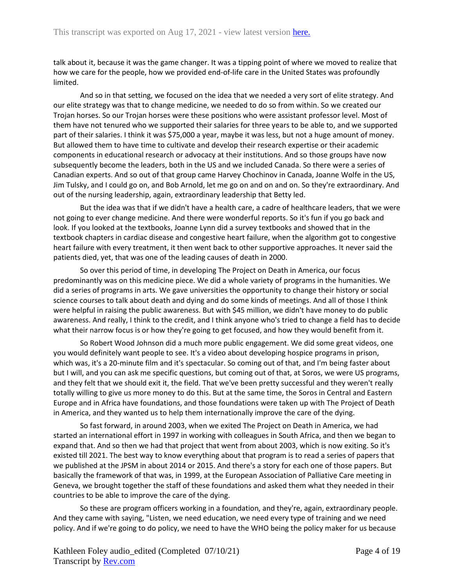talk about it, because it was the game changer. It was a tipping point of where we moved to realize that how we care for the people, how we provided end-of-life care in the United States was profoundly limited.

And so in that setting, we focused on the idea that we needed a very sort of elite strategy. And our elite strategy was that to change medicine, we needed to do so from within. So we created our Trojan horses. So our Trojan horses were these positions who were assistant professor level. Most of them have not tenured who we supported their salaries for three years to be able to, and we supported part of their salaries. I think it was \$75,000 a year, maybe it was less, but not a huge amount of money. But allowed them to have time to cultivate and develop their research expertise or their academic components in educational research or advocacy at their institutions. And so those groups have now subsequently become the leaders, both in the US and we included Canada. So there were a series of Canadian experts. And so out of that group came Harvey Chochinov in Canada, Joanne Wolfe in the US, Jim Tulsky, and I could go on, and Bob Arnold, let me go on and on and on. So they're extraordinary. And out of the nursing leadership, again, extraordinary leadership that Betty led.

But the idea was that if we didn't have a health care, a cadre of healthcare leaders, that we were not going to ever change medicine. And there were wonderful reports. So it's fun if you go back and look. If you looked at the textbooks, Joanne Lynn did a survey textbooks and showed that in the textbook chapters in cardiac disease and congestive heart failure, when the algorithm got to congestive heart failure with every treatment, it then went back to other supportive approaches. It never said the patients died, yet, that was one of the leading causes of death in 2000.

So over this period of time, in developing The Project on Death in America, our focus predominantly was on this medicine piece. We did a whole variety of programs in the humanities. We did a series of programs in arts. We gave universities the opportunity to change their history or social science courses to talk about death and dying and do some kinds of meetings. And all of those I think were helpful in raising the public awareness. But with \$45 million, we didn't have money to do public awareness. And really, I think to the credit, and I think anyone who's tried to change a field has to decide what their narrow focus is or how they're going to get focused, and how they would benefit from it.

So Robert Wood Johnson did a much more public engagement. We did some great videos, one you would definitely want people to see. It's a video about developing hospice programs in prison, which was, it's a 20-minute film and it's spectacular. So coming out of that, and I'm being faster about but I will, and you can ask me specific questions, but coming out of that, at Soros, we were US programs, and they felt that we should exit it, the field. That we've been pretty successful and they weren't really totally willing to give us more money to do this. But at the same time, the Soros in Central and Eastern Europe and in Africa have foundations, and those foundations were taken up with The Project of Death in America, and they wanted us to help them internationally improve the care of the dying.

So fast forward, in around 2003, when we exited The Project on Death in America, we had started an international effort in 1997 in working with colleagues in South Africa, and then we began to expand that. And so then we had that project that went from about 2003, which is now exiting. So it's existed till 2021. The best way to know everything about that program is to read a series of papers that we published at the JPSM in about 2014 or 2015. And there's a story for each one of those papers. But basically the framework of that was, in 1999, at the European Association of Palliative Care meeting in Geneva, we brought together the staff of these foundations and asked them what they needed in their countries to be able to improve the care of the dying.

So these are program officers working in a foundation, and they're, again, extraordinary people. And they came with saying, "Listen, we need education, we need every type of training and we need policy. And if we're going to do policy, we need to have the WHO being the policy maker for us because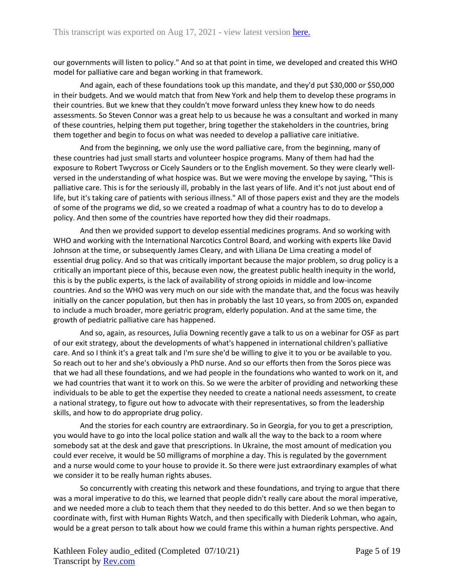our governments will listen to policy." And so at that point in time, we developed and created this WHO model for palliative care and began working in that framework.

And again, each of these foundations took up this mandate, and they'd put \$30,000 or \$50,000 in their budgets. And we would match that from New York and help them to develop these programs in their countries. But we knew that they couldn't move forward unless they knew how to do needs assessments. So Steven Connor was a great help to us because he was a consultant and worked in many of these countries, helping them put together, bring together the stakeholders in the countries, bring them together and begin to focus on what was needed to develop a palliative care initiative.

And from the beginning, we only use the word palliative care, from the beginning, many of these countries had just small starts and volunteer hospice programs. Many of them had had the exposure to Robert Twycross or Cicely Saunders or to the English movement. So they were clearly wellversed in the understanding of what hospice was. But we were moving the envelope by saying, "This is palliative care. This is for the seriously ill, probably in the last years of life. And it's not just about end of life, but it's taking care of patients with serious illness." All of those papers exist and they are the models of some of the programs we did, so we created a roadmap of what a country has to do to develop a policy. And then some of the countries have reported how they did their roadmaps.

And then we provided support to develop essential medicines programs. And so working with WHO and working with the International Narcotics Control Board, and working with experts like David Johnson at the time, or subsequently James Cleary, and with Liliana De Lima creating a model of essential drug policy. And so that was critically important because the major problem, so drug policy is a critically an important piece of this, because even now, the greatest public health inequity in the world, this is by the public experts, is the lack of availability of strong opioids in middle and low-income countries. And so the WHO was very much on our side with the mandate that, and the focus was heavily initially on the cancer population, but then has in probably the last 10 years, so from 2005 on, expanded to include a much broader, more geriatric program, elderly population. And at the same time, the growth of pediatric palliative care has happened.

And so, again, as resources, Julia Downing recently gave a talk to us on a webinar for OSF as part of our exit strategy, about the developments of what's happened in international children's palliative care. And so I think it's a great talk and I'm sure she'd be willing to give it to you or be available to you. So reach out to her and she's obviously a PhD nurse. And so our efforts then from the Soros piece was that we had all these foundations, and we had people in the foundations who wanted to work on it, and we had countries that want it to work on this. So we were the arbiter of providing and networking these individuals to be able to get the expertise they needed to create a national needs assessment, to create a national strategy, to figure out how to advocate with their representatives, so from the leadership skills, and how to do appropriate drug policy.

And the stories for each country are extraordinary. So in Georgia, for you to get a prescription, you would have to go into the local police station and walk all the way to the back to a room where somebody sat at the desk and gave that prescriptions. In Ukraine, the most amount of medication you could ever receive, it would be 50 milligrams of morphine a day. This is regulated by the government and a nurse would come to your house to provide it. So there were just extraordinary examples of what we consider it to be really human rights abuses.

So concurrently with creating this network and these foundations, and trying to argue that there was a moral imperative to do this, we learned that people didn't really care about the moral imperative, and we needed more a club to teach them that they needed to do this better. And so we then began to coordinate with, first with Human Rights Watch, and then specifically with Diederik Lohman, who again, would be a great person to talk about how we could frame this within a human rights perspective. And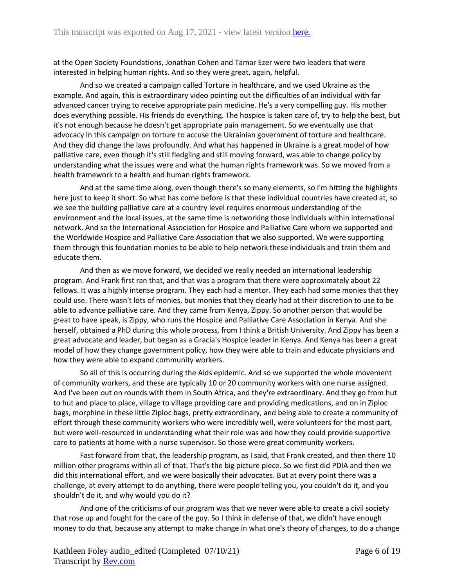at the Open Society Foundations, Jonathan Cohen and Tamar Ezer were two leaders that were interested in helping human rights. And so they were great, again, helpful.

And so we created a campaign called Torture in healthcare, and we used Ukraine as the example. And again, this is extraordinary video pointing out the difficulties of an individual with far advanced cancer trying to receive appropriate pain medicine. He's a very compelling guy. His mother does everything possible. His friends do everything. The hospice is taken care of, try to help the best, but it's not enough because he doesn't get appropriate pain management. So we eventually use that advocacy in this campaign on torture to accuse the Ukrainian government of torture and healthcare. And they did change the laws profoundly. And what has happened in Ukraine is a great model of how palliative care, even though it's still fledgling and still moving forward, was able to change policy by understanding what the issues were and what the human rights framework was. So we moved from a health framework to a health and human rights framework.

And at the same time along, even though there's so many elements, so I'm hitting the highlights here just to keep it short. So what has come before is that these individual countries have created at, so we see the building palliative care at a country level requires enormous understanding of the environment and the local issues, at the same time is networking those individuals within international network. And so the International Association for Hospice and Palliative Care whom we supported and the Worldwide Hospice and Palliative Care Association that we also supported. We were supporting them through this foundation monies to be able to help network these individuals and train them and educate them.

And then as we move forward, we decided we really needed an international leadership program. And Frank first ran that, and that was a program that there were approximately about 22 fellows. It was a highly intense program. They each had a mentor. They each had some monies that they could use. There wasn't lots of monies, but monies that they clearly had at their discretion to use to be able to advance palliative care. And they came from Kenya, Zippy. So another person that would be great to have speak, is Zippy, who runs the Hospice and Palliative Care Association in Kenya. And she herself, obtained a PhD during this whole process, from I think a British University. And Zippy has been a great advocate and leader, but began as a Gracia's Hospice leader in Kenya. And Kenya has been a great model of how they change government policy, how they were able to train and educate physicians and how they were able to expand community workers.

So all of this is occurring during the Aids epidemic. And so we supported the whole movement of community workers, and these are typically 10 or 20 community workers with one nurse assigned. And I've been out on rounds with them in South Africa, and they're extraordinary. And they go from hut to hut and place to place, village to village providing care and providing medications, and on in Ziploc bags, morphine in these little Ziploc bags, pretty extraordinary, and being able to create a community of effort through these community workers who were incredibly well, were volunteers for the most part, but were well-resourced in understanding what their role was and how they could provide supportive care to patients at home with a nurse supervisor. So those were great community workers.

Fast forward from that, the leadership program, as I said, that Frank created, and then there 10 million other programs within all of that. That's the big picture piece. So we first did PDIA and then we did this international effort, and we were basically their advocates. But at every point there was a challenge, at every attempt to do anything, there were people telling you, you couldn't do it, and you shouldn't do it, and why would you do it?

And one of the criticisms of our program was that we never were able to create a civil society that rose up and fought for the care of the guy. So I think in defense of that, we didn't have enough money to do that, because any attempt to make change in what one's theory of changes, to do a change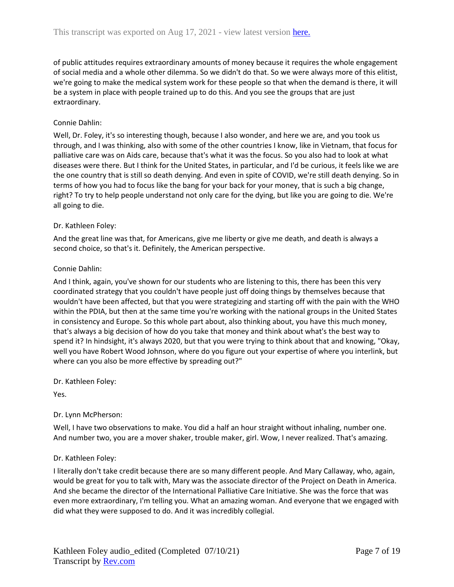of public attitudes requires extraordinary amounts of money because it requires the whole engagement of social media and a whole other dilemma. So we didn't do that. So we were always more of this elitist, we're going to make the medical system work for these people so that when the demand is there, it will be a system in place with people trained up to do this. And you see the groups that are just extraordinary.

## Connie Dahlin:

Well, Dr. Foley, it's so interesting though, because I also wonder, and here we are, and you took us through, and I was thinking, also with some of the other countries I know, like in Vietnam, that focus for palliative care was on Aids care, because that's what it was the focus. So you also had to look at what diseases were there. But I think for the United States, in particular, and I'd be curious, it feels like we are the one country that is still so death denying. And even in spite of COVID, we're still death denying. So in terms of how you had to focus like the bang for your back for your money, that is such a big change, right? To try to help people understand not only care for the dying, but like you are going to die. We're all going to die.

## Dr. Kathleen Foley:

And the great line was that, for Americans, give me liberty or give me death, and death is always a second choice, so that's it. Definitely, the American perspective.

## Connie Dahlin:

And I think, again, you've shown for our students who are listening to this, there has been this very coordinated strategy that you couldn't have people just off doing things by themselves because that wouldn't have been affected, but that you were strategizing and starting off with the pain with the WHO within the PDIA, but then at the same time you're working with the national groups in the United States in consistency and Europe. So this whole part about, also thinking about, you have this much money, that's always a big decision of how do you take that money and think about what's the best way to spend it? In hindsight, it's always 2020, but that you were trying to think about that and knowing, "Okay, well you have Robert Wood Johnson, where do you figure out your expertise of where you interlink, but where can you also be more effective by spreading out?"

Dr. Kathleen Foley:

Yes.

## Dr. Lynn McPherson:

Well, I have two observations to make. You did a half an hour straight without inhaling, number one. And number two, you are a mover shaker, trouble maker, girl. Wow, I never realized. That's amazing.

## Dr. Kathleen Foley:

I literally don't take credit because there are so many different people. And Mary Callaway, who, again, would be great for you to talk with, Mary was the associate director of the Project on Death in America. And she became the director of the International Palliative Care Initiative. She was the force that was even more extraordinary, I'm telling you. What an amazing woman. And everyone that we engaged with did what they were supposed to do. And it was incredibly collegial.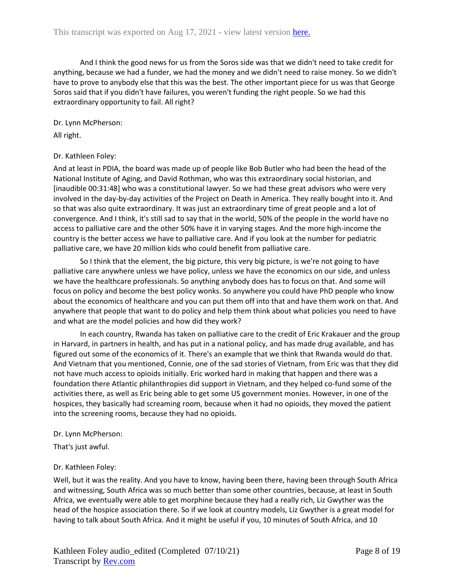And I think the good news for us from the Soros side was that we didn't need to take credit for anything, because we had a funder, we had the money and we didn't need to raise money. So we didn't have to prove to anybody else that this was the best. The other important piece for us was that George Soros said that if you didn't have failures, you weren't funding the right people. So we had this extraordinary opportunity to fail. All right?

#### Dr. Lynn McPherson:

All right.

## Dr. Kathleen Foley:

And at least in PDIA, the board was made up of people like Bob Butler who had been the head of the National Institute of Aging, and David Rothman, who was this extraordinary social historian, and [inaudible 00:31:48] who was a constitutional lawyer. So we had these great advisors who were very involved in the day-by-day activities of the Project on Death in America. They really bought into it. And so that was also quite extraordinary. It was just an extraordinary time of great people and a lot of convergence. And I think, it's still sad to say that in the world, 50% of the people in the world have no access to palliative care and the other 50% have it in varying stages. And the more high-income the country is the better access we have to palliative care. And if you look at the number for pediatric palliative care, we have 20 million kids who could benefit from palliative care.

So I think that the element, the big picture, this very big picture, is we're not going to have palliative care anywhere unless we have policy, unless we have the economics on our side, and unless we have the healthcare professionals. So anything anybody does has to focus on that. And some will focus on policy and become the best policy wonks. So anywhere you could have PhD people who know about the economics of healthcare and you can put them off into that and have them work on that. And anywhere that people that want to do policy and help them think about what policies you need to have and what are the model policies and how did they work?

In each country, Rwanda has taken on palliative care to the credit of Eric Krakauer and the group in Harvard, in partners in health, and has put in a national policy, and has made drug available, and has figured out some of the economics of it. There's an example that we think that Rwanda would do that. And Vietnam that you mentioned, Connie, one of the sad stories of Vietnam, from Eric was that they did not have much access to opioids initially. Eric worked hard in making that happen and there was a foundation there Atlantic philanthropies did support in Vietnam, and they helped co-fund some of the activities there, as well as Eric being able to get some US government monies. However, in one of the hospices, they basically had screaming room, because when it had no opioids, they moved the patient into the screening rooms, because they had no opioids.

#### Dr. Lynn McPherson:

That's just awful.

## Dr. Kathleen Foley:

Well, but it was the reality. And you have to know, having been there, having been through South Africa and witnessing, South Africa was so much better than some other countries, because, at least in South Africa, we eventually were able to get morphine because they had a really rich, Liz Gwyther was the head of the hospice association there. So if we look at country models, Liz Gwyther is a great model for having to talk about South Africa. And it might be useful if you, 10 minutes of South Africa, and 10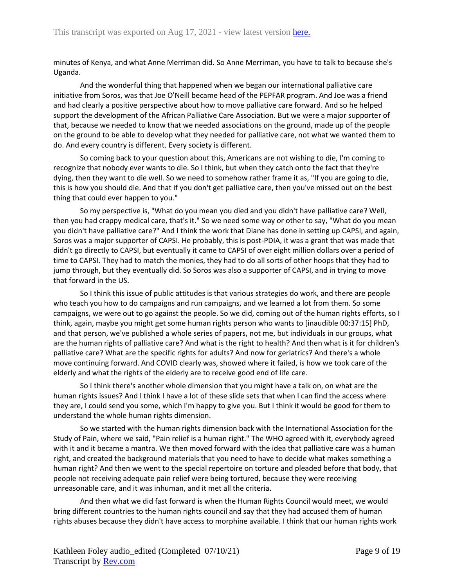minutes of Kenya, and what Anne Merriman did. So Anne Merriman, you have to talk to because she's Uganda.

And the wonderful thing that happened when we began our international palliative care initiative from Soros, was that Joe O'Neill became head of the PEPFAR program. And Joe was a friend and had clearly a positive perspective about how to move palliative care forward. And so he helped support the development of the African Palliative Care Association. But we were a major supporter of that, because we needed to know that we needed associations on the ground, made up of the people on the ground to be able to develop what they needed for palliative care, not what we wanted them to do. And every country is different. Every society is different.

So coming back to your question about this, Americans are not wishing to die, I'm coming to recognize that nobody ever wants to die. So I think, but when they catch onto the fact that they're dying, then they want to die well. So we need to somehow rather frame it as, "If you are going to die, this is how you should die. And that if you don't get palliative care, then you've missed out on the best thing that could ever happen to you."

So my perspective is, "What do you mean you died and you didn't have palliative care? Well, then you had crappy medical care, that's it." So we need some way or other to say, "What do you mean you didn't have palliative care?" And I think the work that Diane has done in setting up CAPSI, and again, Soros was a major supporter of CAPSI. He probably, this is post-PDIA, it was a grant that was made that didn't go directly to CAPSI, but eventually it came to CAPSI of over eight million dollars over a period of time to CAPSI. They had to match the monies, they had to do all sorts of other hoops that they had to jump through, but they eventually did. So Soros was also a supporter of CAPSI, and in trying to move that forward in the US.

So I think this issue of public attitudes is that various strategies do work, and there are people who teach you how to do campaigns and run campaigns, and we learned a lot from them. So some campaigns, we were out to go against the people. So we did, coming out of the human rights efforts, so I think, again, maybe you might get some human rights person who wants to [inaudible 00:37:15] PhD, and that person, we've published a whole series of papers, not me, but individuals in our groups, what are the human rights of palliative care? And what is the right to health? And then what is it for children's palliative care? What are the specific rights for adults? And now for geriatrics? And there's a whole move continuing forward. And COVID clearly was, showed where it failed, is how we took care of the elderly and what the rights of the elderly are to receive good end of life care.

So I think there's another whole dimension that you might have a talk on, on what are the human rights issues? And I think I have a lot of these slide sets that when I can find the access where they are, I could send you some, which I'm happy to give you. But I think it would be good for them to understand the whole human rights dimension.

So we started with the human rights dimension back with the International Association for the Study of Pain, where we said, "Pain relief is a human right." The WHO agreed with it, everybody agreed with it and it became a mantra. We then moved forward with the idea that palliative care was a human right, and created the background materials that you need to have to decide what makes something a human right? And then we went to the special repertoire on torture and pleaded before that body, that people not receiving adequate pain relief were being tortured, because they were receiving unreasonable care, and it was inhuman, and it met all the criteria.

And then what we did fast forward is when the Human Rights Council would meet, we would bring different countries to the human rights council and say that they had accused them of human rights abuses because they didn't have access to morphine available. I think that our human rights work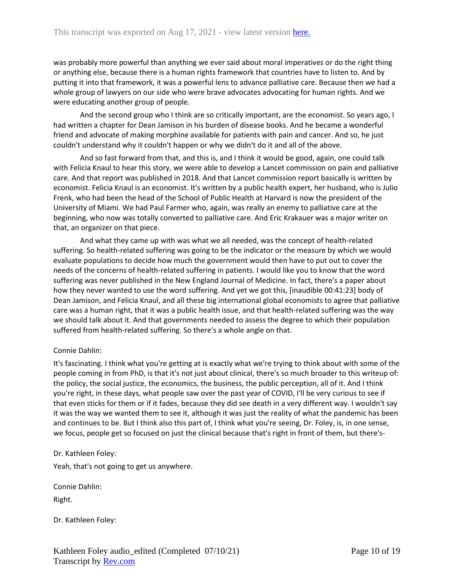was probably more powerful than anything we ever said about moral imperatives or do the right thing or anything else, because there is a human rights framework that countries have to listen to. And by putting it into that framework, it was a powerful lens to advance palliative care. Because then we had a whole group of lawyers on our side who were brave advocates advocating for human rights. And we were educating another group of people.

And the second group who I think are so critically important, are the economist. So years ago, I had written a chapter for Dean Jamison in his burden of disease books. And he became a wonderful friend and advocate of making morphine available for patients with pain and cancer. And so, he just couldn't understand why it couldn't happen or why we didn't do it and all of the above.

And so fast forward from that, and this is, and I think it would be good, again, one could talk with Felicia Knaul to hear this story, we were able to develop a Lancet commission on pain and palliative care. And that report was published in 2018. And that Lancet commission report basically is written by economist. Felicia Knaul is an economist. It's written by a public health expert, her husband, who is Julio Frenk, who had been the head of the School of Public Health at Harvard is now the president of the University of Miami. We had Paul Farmer who, again, was really an enemy to palliative care at the beginning, who now was totally converted to palliative care. And Eric Krakauer was a major writer on that, an organizer on that piece.

And what they came up with was what we all needed, was the concept of health-related suffering. So health-related suffering was going to be the indicator or the measure by which we would evaluate populations to decide how much the government would then have to put out to cover the needs of the concerns of health-related suffering in patients. I would like you to know that the word suffering was never published in the New England Journal of Medicine. In fact, there's a paper about how they never wanted to use the word suffering. And yet we got this, [inaudible 00:41:23] body of Dean Jamison, and Felicia Knaul, and all these big international global economists to agree that palliative care was a human right, that it was a public health issue, and that health-related suffering was the way we should talk about it. And that governments needed to assess the degree to which their population suffered from health-related suffering. So there's a whole angle on that.

## Connie Dahlin:

It's fascinating. I think what you're getting at is exactly what we're trying to think about with some of the people coming in from PhD, is that it's not just about clinical, there's so much broader to this writeup of: the policy, the social justice, the economics, the business, the public perception, all of it. And I think you're right, in these days, what people saw over the past year of COVID, I'll be very curious to see if that even sticks for them or if it fades, because they did see death in a very different way. I wouldn't say it was the way we wanted them to see it, although it was just the reality of what the pandemic has been and continues to be. But I think also this part of, I think what you're seeing, Dr. Foley, is, in one sense, we focus, people get so focused on just the clinical because that's right in front of them, but there's-

Dr. Kathleen Foley:

Yeah, that's not going to get us anywhere.

Connie Dahlin: Right.

Dr. Kathleen Foley: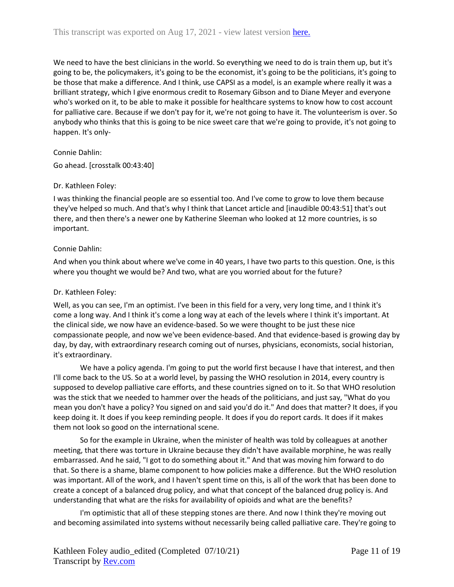We need to have the best clinicians in the world. So everything we need to do is train them up, but it's going to be, the policymakers, it's going to be the economist, it's going to be the politicians, it's going to be those that make a difference. And I think, use CAPSI as a model, is an example where really it was a brilliant strategy, which I give enormous credit to Rosemary Gibson and to Diane Meyer and everyone who's worked on it, to be able to make it possible for healthcare systems to know how to cost account for palliative care. Because if we don't pay for it, we're not going to have it. The volunteerism is over. So anybody who thinks that this is going to be nice sweet care that we're going to provide, it's not going to happen. It's only-

## Connie Dahlin:

Go ahead. [crosstalk 00:43:40]

## Dr. Kathleen Foley:

I was thinking the financial people are so essential too. And I've come to grow to love them because they've helped so much. And that's why I think that Lancet article and [inaudible 00:43:51] that's out there, and then there's a newer one by Katherine Sleeman who looked at 12 more countries, is so important.

## Connie Dahlin:

And when you think about where we've come in 40 years, I have two parts to this question. One, is this where you thought we would be? And two, what are you worried about for the future?

## Dr. Kathleen Foley:

Well, as you can see, I'm an optimist. I've been in this field for a very, very long time, and I think it's come a long way. And I think it's come a long way at each of the levels where I think it's important. At the clinical side, we now have an evidence-based. So we were thought to be just these nice compassionate people, and now we've been evidence-based. And that evidence-based is growing day by day, by day, with extraordinary research coming out of nurses, physicians, economists, social historian, it's extraordinary.

We have a policy agenda. I'm going to put the world first because I have that interest, and then I'll come back to the US. So at a world level, by passing the WHO resolution in 2014, every country is supposed to develop palliative care efforts, and these countries signed on to it. So that WHO resolution was the stick that we needed to hammer over the heads of the politicians, and just say, "What do you mean you don't have a policy? You signed on and said you'd do it." And does that matter? It does, if you keep doing it. It does if you keep reminding people. It does if you do report cards. It does if it makes them not look so good on the international scene.

So for the example in Ukraine, when the minister of health was told by colleagues at another meeting, that there was torture in Ukraine because they didn't have available morphine, he was really embarrassed. And he said, "I got to do something about it." And that was moving him forward to do that. So there is a shame, blame component to how policies make a difference. But the WHO resolution was important. All of the work, and I haven't spent time on this, is all of the work that has been done to create a concept of a balanced drug policy, and what that concept of the balanced drug policy is. And understanding that what are the risks for availability of opioids and what are the benefits?

I'm optimistic that all of these stepping stones are there. And now I think they're moving out and becoming assimilated into systems without necessarily being called palliative care. They're going to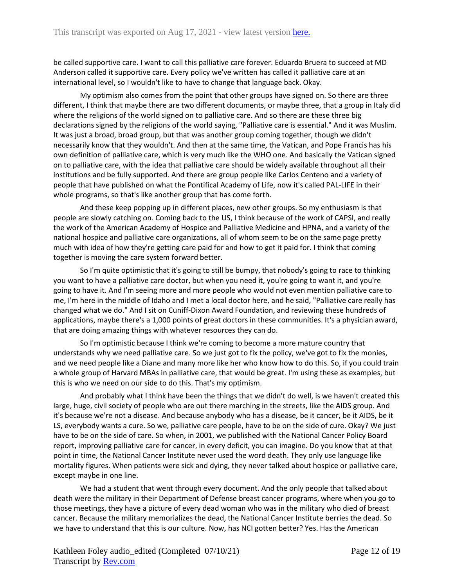be called supportive care. I want to call this palliative care forever. Eduardo Bruera to succeed at MD Anderson called it supportive care. Every policy we've written has called it palliative care at an international level, so I wouldn't like to have to change that language back. Okay.

My optimism also comes from the point that other groups have signed on. So there are three different, I think that maybe there are two different documents, or maybe three, that a group in Italy did where the religions of the world signed on to palliative care. And so there are these three big declarations signed by the religions of the world saying, "Palliative care is essential." And it was Muslim. It was just a broad, broad group, but that was another group coming together, though we didn't necessarily know that they wouldn't. And then at the same time, the Vatican, and Pope Francis has his own definition of palliative care, which is very much like the WHO one. And basically the Vatican signed on to palliative care, with the idea that palliative care should be widely available throughout all their institutions and be fully supported. And there are group people like Carlos Centeno and a variety of people that have published on what the Pontifical Academy of Life, now it's called PAL-LIFE in their whole programs, so that's like another group that has come forth.

And these keep popping up in different places, new other groups. So my enthusiasm is that people are slowly catching on. Coming back to the US, I think because of the work of CAPSI, and really the work of the American Academy of Hospice and Palliative Medicine and HPNA, and a variety of the national hospice and palliative care organizations, all of whom seem to be on the same page pretty much with idea of how they're getting care paid for and how to get it paid for. I think that coming together is moving the care system forward better.

So I'm quite optimistic that it's going to still be bumpy, that nobody's going to race to thinking you want to have a palliative care doctor, but when you need it, you're going to want it, and you're going to have it. And I'm seeing more and more people who would not even mention palliative care to me, I'm here in the middle of Idaho and I met a local doctor here, and he said, "Palliative care really has changed what we do." And I sit on Cuniff-Dixon Award Foundation, and reviewing these hundreds of applications, maybe there's a 1,000 points of great doctors in these communities. It's a physician award, that are doing amazing things with whatever resources they can do.

So I'm optimistic because I think we're coming to become a more mature country that understands why we need palliative care. So we just got to fix the policy, we've got to fix the monies, and we need people like a Diane and many more like her who know how to do this. So, if you could train a whole group of Harvard MBAs in palliative care, that would be great. I'm using these as examples, but this is who we need on our side to do this. That's my optimism.

And probably what I think have been the things that we didn't do well, is we haven't created this large, huge, civil society of people who are out there marching in the streets, like the AIDS group. And it's because we're not a disease. And because anybody who has a disease, be it cancer, be it AIDS, be it LS, everybody wants a cure. So we, palliative care people, have to be on the side of cure. Okay? We just have to be on the side of care. So when, in 2001, we published with the National Cancer Policy Board report, improving palliative care for cancer, in every deficit, you can imagine. Do you know that at that point in time, the National Cancer Institute never used the word death. They only use language like mortality figures. When patients were sick and dying, they never talked about hospice or palliative care, except maybe in one line.

We had a student that went through every document. And the only people that talked about death were the military in their Department of Defense breast cancer programs, where when you go to those meetings, they have a picture of every dead woman who was in the military who died of breast cancer. Because the military memorializes the dead, the National Cancer Institute berries the dead. So we have to understand that this is our culture. Now, has NCI gotten better? Yes. Has the American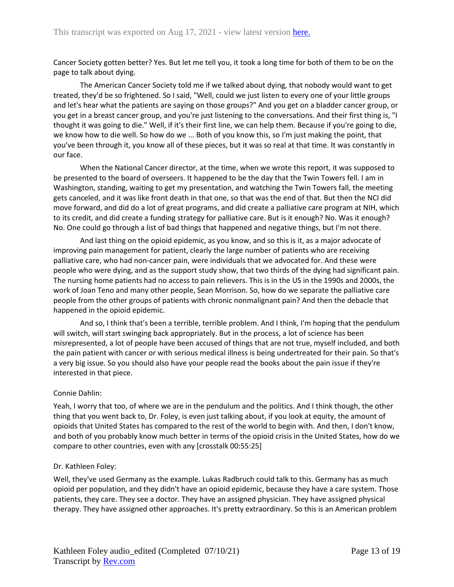Cancer Society gotten better? Yes. But let me tell you, it took a long time for both of them to be on the page to talk about dying.

The American Cancer Society told me if we talked about dying, that nobody would want to get treated, they'd be so frightened. So I said, "Well, could we just listen to every one of your little groups and let's hear what the patients are saying on those groups?" And you get on a bladder cancer group, or you get in a breast cancer group, and you're just listening to the conversations. And their first thing is, "I thought it was going to die." Well, if it's their first line, we can help them. Because if you're going to die, we know how to die well. So how do we ... Both of you know this, so I'm just making the point, that you've been through it, you know all of these pieces, but it was so real at that time. It was constantly in our face.

When the National Cancer director, at the time, when we wrote this report, it was supposed to be presented to the board of overseers. It happened to be the day that the Twin Towers fell. I am in Washington, standing, waiting to get my presentation, and watching the Twin Towers fall, the meeting gets canceled, and it was like front death in that one, so that was the end of that. But then the NCI did move forward, and did do a lot of great programs, and did create a palliative care program at NIH, which to its credit, and did create a funding strategy for palliative care. But is it enough? No. Was it enough? No. One could go through a list of bad things that happened and negative things, but I'm not there.

And last thing on the opioid epidemic, as you know, and so this is it, as a major advocate of improving pain management for patient, clearly the large number of patients who are receiving palliative care, who had non-cancer pain, were individuals that we advocated for. And these were people who were dying, and as the support study show, that two thirds of the dying had significant pain. The nursing home patients had no access to pain relievers. This is in the US in the 1990s and 2000s, the work of Joan Teno and many other people, Sean Morrison. So, how do we separate the palliative care people from the other groups of patients with chronic nonmalignant pain? And then the debacle that happened in the opioid epidemic.

And so, I think that's been a terrible, terrible problem. And I think, I'm hoping that the pendulum will switch, will start swinging back appropriately. But in the process, a lot of science has been misrepresented, a lot of people have been accused of things that are not true, myself included, and both the pain patient with cancer or with serious medical illness is being undertreated for their pain. So that's a very big issue. So you should also have your people read the books about the pain issue if they're interested in that piece.

## Connie Dahlin:

Yeah, I worry that too, of where we are in the pendulum and the politics. And I think though, the other thing that you went back to, Dr. Foley, is even just talking about, if you look at equity, the amount of opioids that United States has compared to the rest of the world to begin with. And then, I don't know, and both of you probably know much better in terms of the opioid crisis in the United States, how do we compare to other countries, even with any [crosstalk 00:55:25]

## Dr. Kathleen Foley:

Well, they've used Germany as the example. Lukas Radbruch could talk to this. Germany has as much opioid per population, and they didn't have an opioid epidemic, because they have a care system. Those patients, they care. They see a doctor. They have an assigned physician. They have assigned physical therapy. They have assigned other approaches. It's pretty extraordinary. So this is an American problem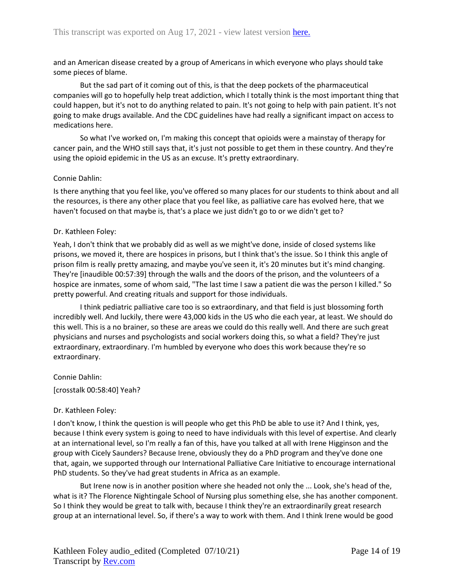and an American disease created by a group of Americans in which everyone who plays should take some pieces of blame.

But the sad part of it coming out of this, is that the deep pockets of the pharmaceutical companies will go to hopefully help treat addiction, which I totally think is the most important thing that could happen, but it's not to do anything related to pain. It's not going to help with pain patient. It's not going to make drugs available. And the CDC guidelines have had really a significant impact on access to medications here.

So what I've worked on, I'm making this concept that opioids were a mainstay of therapy for cancer pain, and the WHO still says that, it's just not possible to get them in these country. And they're using the opioid epidemic in the US as an excuse. It's pretty extraordinary.

## Connie Dahlin:

Is there anything that you feel like, you've offered so many places for our students to think about and all the resources, is there any other place that you feel like, as palliative care has evolved here, that we haven't focused on that maybe is, that's a place we just didn't go to or we didn't get to?

## Dr. Kathleen Foley:

Yeah, I don't think that we probably did as well as we might've done, inside of closed systems like prisons, we moved it, there are hospices in prisons, but I think that's the issue. So I think this angle of prison film is really pretty amazing, and maybe you've seen it, it's 20 minutes but it's mind changing. They're [inaudible 00:57:39] through the walls and the doors of the prison, and the volunteers of a hospice are inmates, some of whom said, "The last time I saw a patient die was the person I killed." So pretty powerful. And creating rituals and support for those individuals.

I think pediatric palliative care too is so extraordinary, and that field is just blossoming forth incredibly well. And luckily, there were 43,000 kids in the US who die each year, at least. We should do this well. This is a no brainer, so these are areas we could do this really well. And there are such great physicians and nurses and psychologists and social workers doing this, so what a field? They're just extraordinary, extraordinary. I'm humbled by everyone who does this work because they're so extraordinary.

Connie Dahlin:

[crosstalk 00:58:40] Yeah?

## Dr. Kathleen Foley:

I don't know, I think the question is will people who get this PhD be able to use it? And I think, yes, because I think every system is going to need to have individuals with this level of expertise. And clearly at an international level, so I'm really a fan of this, have you talked at all with Irene Higginson and the group with Cicely Saunders? Because Irene, obviously they do a PhD program and they've done one that, again, we supported through our International Palliative Care Initiative to encourage international PhD students. So they've had great students in Africa as an example.

But Irene now is in another position where she headed not only the ... Look, she's head of the, what is it? The Florence Nightingale School of Nursing plus something else, she has another component. So I think they would be great to talk with, because I think they're an extraordinarily great research group at an international level. So, if there's a way to work with them. And I think Irene would be good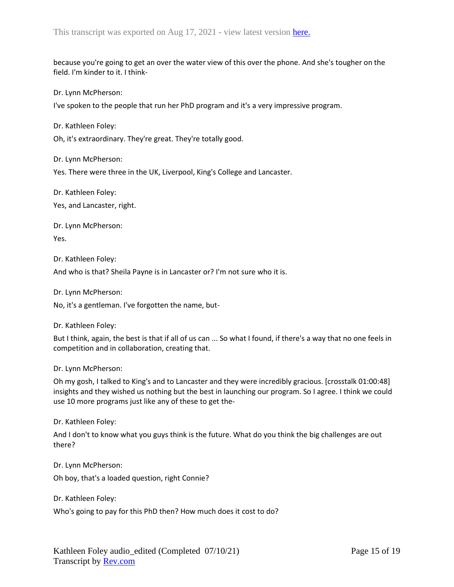because you're going to get an over the water view of this over the phone. And she's tougher on the field. I'm kinder to it. I think-

Dr. Lynn McPherson:

I've spoken to the people that run her PhD program and it's a very impressive program.

Dr. Kathleen Foley:

Oh, it's extraordinary. They're great. They're totally good.

Dr. Lynn McPherson:

Yes. There were three in the UK, Liverpool, King's College and Lancaster.

Dr. Kathleen Foley:

Yes, and Lancaster, right.

Dr. Lynn McPherson: Yes.

Dr. Kathleen Foley:

And who is that? Sheila Payne is in Lancaster or? I'm not sure who it is.

Dr. Lynn McPherson:

No, it's a gentleman. I've forgotten the name, but-

Dr. Kathleen Foley:

But I think, again, the best is that if all of us can ... So what I found, if there's a way that no one feels in competition and in collaboration, creating that.

Dr. Lynn McPherson:

Oh my gosh, I talked to King's and to Lancaster and they were incredibly gracious. [crosstalk 01:00:48] insights and they wished us nothing but the best in launching our program. So I agree. I think we could use 10 more programs just like any of these to get the-

Dr. Kathleen Foley:

And I don't to know what you guys think is the future. What do you think the big challenges are out there?

Dr. Lynn McPherson:

Oh boy, that's a loaded question, right Connie?

Dr. Kathleen Foley:

Who's going to pay for this PhD then? How much does it cost to do?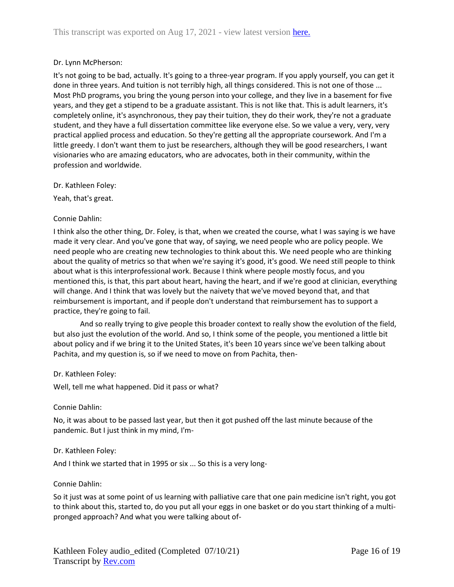## Dr. Lynn McPherson:

It's not going to be bad, actually. It's going to a three-year program. If you apply yourself, you can get it done in three years. And tuition is not terribly high, all things considered. This is not one of those ... Most PhD programs, you bring the young person into your college, and they live in a basement for five years, and they get a stipend to be a graduate assistant. This is not like that. This is adult learners, it's completely online, it's asynchronous, they pay their tuition, they do their work, they're not a graduate student, and they have a full dissertation committee like everyone else. So we value a very, very, very practical applied process and education. So they're getting all the appropriate coursework. And I'm a little greedy. I don't want them to just be researchers, although they will be good researchers, I want visionaries who are amazing educators, who are advocates, both in their community, within the profession and worldwide.

Dr. Kathleen Foley:

Yeah, that's great.

## Connie Dahlin:

I think also the other thing, Dr. Foley, is that, when we created the course, what I was saying is we have made it very clear. And you've gone that way, of saying, we need people who are policy people. We need people who are creating new technologies to think about this. We need people who are thinking about the quality of metrics so that when we're saying it's good, it's good. We need still people to think about what is this interprofessional work. Because I think where people mostly focus, and you mentioned this, is that, this part about heart, having the heart, and if we're good at clinician, everything will change. And I think that was lovely but the naivety that we've moved beyond that, and that reimbursement is important, and if people don't understand that reimbursement has to support a practice, they're going to fail.

And so really trying to give people this broader context to really show the evolution of the field, but also just the evolution of the world. And so, I think some of the people, you mentioned a little bit about policy and if we bring it to the United States, it's been 10 years since we've been talking about Pachita, and my question is, so if we need to move on from Pachita, then-

#### Dr. Kathleen Foley:

Well, tell me what happened. Did it pass or what?

#### Connie Dahlin:

No, it was about to be passed last year, but then it got pushed off the last minute because of the pandemic. But I just think in my mind, I'm-

#### Dr. Kathleen Foley:

And I think we started that in 1995 or six ... So this is a very long-

#### Connie Dahlin:

So it just was at some point of us learning with palliative care that one pain medicine isn't right, you got to think about this, started to, do you put all your eggs in one basket or do you start thinking of a multipronged approach? And what you were talking about of-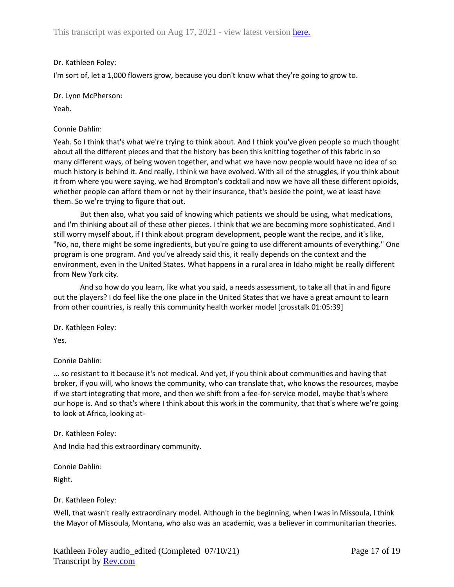## Dr. Kathleen Foley:

I'm sort of, let a 1,000 flowers grow, because you don't know what they're going to grow to.

Dr. Lynn McPherson:

Yeah.

## Connie Dahlin:

Yeah. So I think that's what we're trying to think about. And I think you've given people so much thought about all the different pieces and that the history has been this knitting together of this fabric in so many different ways, of being woven together, and what we have now people would have no idea of so much history is behind it. And really, I think we have evolved. With all of the struggles, if you think about it from where you were saying, we had Brompton's cocktail and now we have all these different opioids, whether people can afford them or not by their insurance, that's beside the point, we at least have them. So we're trying to figure that out.

But then also, what you said of knowing which patients we should be using, what medications, and I'm thinking about all of these other pieces. I think that we are becoming more sophisticated. And I still worry myself about, if I think about program development, people want the recipe, and it's like, "No, no, there might be some ingredients, but you're going to use different amounts of everything." One program is one program. And you've already said this, it really depends on the context and the environment, even in the United States. What happens in a rural area in Idaho might be really different from New York city.

And so how do you learn, like what you said, a needs assessment, to take all that in and figure out the players? I do feel like the one place in the United States that we have a great amount to learn from other countries, is really this community health worker model [crosstalk 01:05:39]

Dr. Kathleen Foley:

Yes.

# Connie Dahlin:

... so resistant to it because it's not medical. And yet, if you think about communities and having that broker, if you will, who knows the community, who can translate that, who knows the resources, maybe if we start integrating that more, and then we shift from a fee-for-service model, maybe that's where our hope is. And so that's where I think about this work in the community, that that's where we're going to look at Africa, looking at-

## Dr. Kathleen Foley:

And India had this extraordinary community.

Connie Dahlin:

Right.

## Dr. Kathleen Foley:

Well, that wasn't really extraordinary model. Although in the beginning, when I was in Missoula, I think the Mayor of Missoula, Montana, who also was an academic, was a believer in communitarian theories.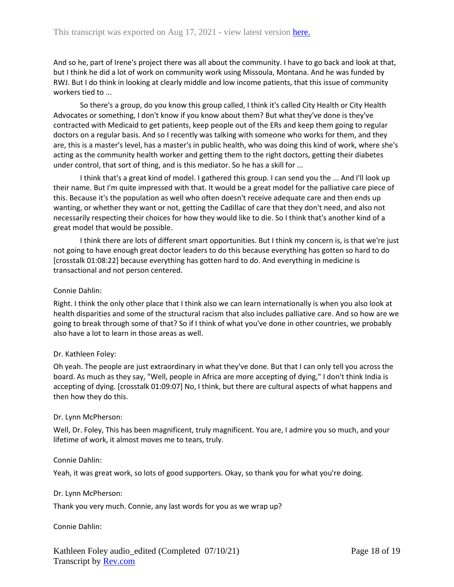And so he, part of Irene's project there was all about the community. I have to go back and look at that, but I think he did a lot of work on community work using Missoula, Montana. And he was funded by RWJ. But I do think in looking at clearly middle and low income patients, that this issue of community workers tied to ...

So there's a group, do you know this group called, I think it's called City Health or City Health Advocates or something, I don't know if you know about them? But what they've done is they've contracted with Medicaid to get patients, keep people out of the ERs and keep them going to regular doctors on a regular basis. And so I recently was talking with someone who works for them, and they are, this is a master's level, has a master's in public health, who was doing this kind of work, where she's acting as the community health worker and getting them to the right doctors, getting their diabetes under control, that sort of thing, and is this mediator. So he has a skill for ...

I think that's a great kind of model. I gathered this group. I can send you the ... And I'll look up their name. But I'm quite impressed with that. It would be a great model for the palliative care piece of this. Because it's the population as well who often doesn't receive adequate care and then ends up wanting, or whether they want or not, getting the Cadillac of care that they don't need, and also not necessarily respecting their choices for how they would like to die. So I think that's another kind of a great model that would be possible.

I think there are lots of different smart opportunities. But I think my concern is, is that we're just not going to have enough great doctor leaders to do this because everything has gotten so hard to do [crosstalk 01:08:22] because everything has gotten hard to do. And everything in medicine is transactional and not person centered.

## Connie Dahlin:

Right. I think the only other place that I think also we can learn internationally is when you also look at health disparities and some of the structural racism that also includes palliative care. And so how are we going to break through some of that? So if I think of what you've done in other countries, we probably also have a lot to learn in those areas as well.

## Dr. Kathleen Foley:

Oh yeah. The people are just extraordinary in what they've done. But that I can only tell you across the board. As much as they say, "Well, people in Africa are more accepting of dying," I don't think India is accepting of dying. [crosstalk 01:09:07] No, I think, but there are cultural aspects of what happens and then how they do this.

## Dr. Lynn McPherson:

Well, Dr. Foley, This has been magnificent, truly magnificent. You are, I admire you so much, and your lifetime of work, it almost moves me to tears, truly.

## Connie Dahlin:

Yeah, it was great work, so lots of good supporters. Okay, so thank you for what you're doing.

## Dr. Lynn McPherson:

Thank you very much. Connie, any last words for you as we wrap up?

## Connie Dahlin: